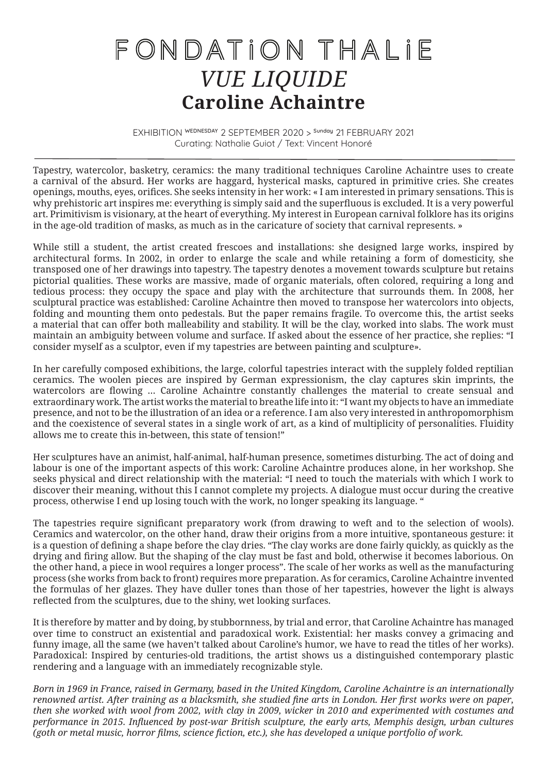## FONDATION THALIE *VUE LIQUIDE* **Caroline Achaintre**

EXHIBITION WEDNESDAY 2 SEPTEMBER 2020 > Sunday 21 FEBRUARY 2021 Curating: Nathalie Guiot / Text: Vincent Honoré

Tapestry, watercolor, basketry, ceramics: the many traditional techniques Caroline Achaintre uses to create a carnival of the absurd. Her works are haggard, hysterical masks, captured in primitive cries. She creates openings, mouths, eyes, orifices. She seeks intensity in her work: « I am interested in primary sensations. This is why prehistoric art inspires me: everything is simply said and the superfluous is excluded. It is a very powerful art. Primitivism is visionary, at the heart of everything. My interest in European carnival folklore has its origins in the age-old tradition of masks, as much as in the caricature of society that carnival represents. »

While still a student, the artist created frescoes and installations: she designed large works, inspired by architectural forms. In 2002, in order to enlarge the scale and while retaining a form of domesticity, she transposed one of her drawings into tapestry. The tapestry denotes a movement towards sculpture but retains pictorial qualities. These works are massive, made of organic materials, often colored, requiring a long and tedious process: they occupy the space and play with the architecture that surrounds them. In 2008, her sculptural practice was established: Caroline Achaintre then moved to transpose her watercolors into objects, folding and mounting them onto pedestals. But the paper remains fragile. To overcome this, the artist seeks a material that can offer both malleability and stability. It will be the clay, worked into slabs. The work must maintain an ambiguity between volume and surface. If asked about the essence of her practice, she replies: "I consider myself as a sculptor, even if my tapestries are between painting and sculpture».

In her carefully composed exhibitions, the large, colorful tapestries interact with the supplely folded reptilian ceramics. The woolen pieces are inspired by German expressionism, the clay captures skin imprints, the watercolors are flowing … Caroline Achaintre constantly challenges the material to create sensual and extraordinary work. The artist works the material to breathe life into it: "I want my objects to have an immediate presence, and not to be the illustration of an idea or a reference. I am also very interested in anthropomorphism and the coexistence of several states in a single work of art, as a kind of multiplicity of personalities. Fluidity allows me to create this in-between, this state of tension!"

Her sculptures have an animist, half-animal, half-human presence, sometimes disturbing. The act of doing and labour is one of the important aspects of this work: Caroline Achaintre produces alone, in her workshop. She seeks physical and direct relationship with the material: "I need to touch the materials with which I work to discover their meaning, without this I cannot complete my projects. A dialogue must occur during the creative process, otherwise I end up losing touch with the work, no longer speaking its language. "

The tapestries require significant preparatory work (from drawing to weft and to the selection of wools). Ceramics and watercolor, on the other hand, draw their origins from a more intuitive, spontaneous gesture: it is a question of defining a shape before the clay dries. "The clay works are done fairly quickly, as quickly as the drying and firing allow. But the shaping of the clay must be fast and bold, otherwise it becomes laborious. On the other hand, a piece in wool requires a longer process". The scale of her works as well as the manufacturing process (she works from back to front) requires more preparation. As for ceramics, Caroline Achaintre invented the formulas of her glazes. They have duller tones than those of her tapestries, however the light is always reflected from the sculptures, due to the shiny, wet looking surfaces.

It is therefore by matter and by doing, by stubbornness, by trial and error, that Caroline Achaintre has managed over time to construct an existential and paradoxical work. Existential: her masks convey a grimacing and funny image, all the same (we haven't talked about Caroline's humor, we have to read the titles of her works). Paradoxical: Inspired by centuries-old traditions, the artist shows us a distinguished contemporary plastic rendering and a language with an immediately recognizable style.

*Born in 1969 in France, raised in Germany, based in the United Kingdom, Caroline Achaintre is an internationally renowned artist. After training as a blacksmith, she studied fine arts in London. Her first works were on paper, then she worked with wool from 2002, with clay in 2009, wicker in 2010 and experimented with costumes and performance in 2015. Influenced by post-war British sculpture, the early arts, Memphis design, urban cultures (goth or metal music, horror films, science fiction, etc.), she has developed a unique portfolio of work.*